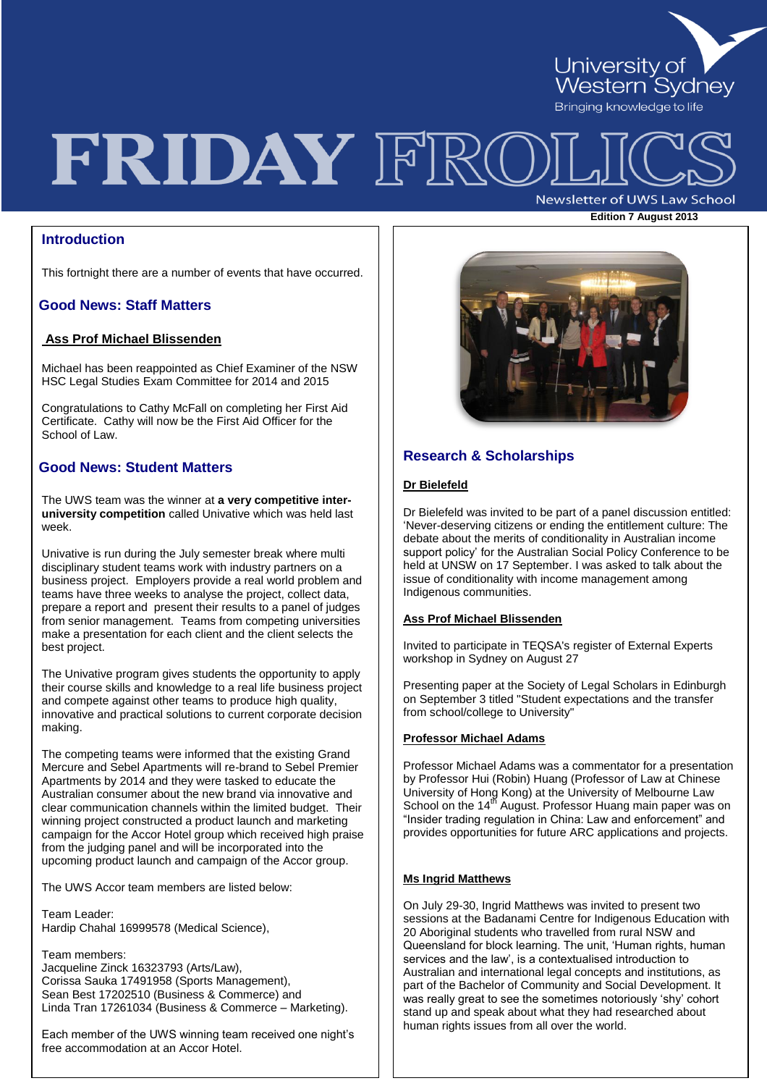

**Edition 7 August <sup>2013</sup>**

# FRIDAY FRC **Newsletter of UWS Law School**

# **Introduction**

This fortnight there are a number of events that have occurred.

# **Good News: Staff Matters**

# **Ass Prof Michael Blissenden**

Michael has been reappointed as Chief Examiner of the NSW HSC Legal Studies Exam Committee for 2014 and 2015

Congratulations to Cathy McFall on completing her First Aid Certificate. Cathy will now be the First Aid Officer for the School of Law.

## **Good News: Student Matters**

The UWS team was the winner at **a very competitive interuniversity competition** called Univative which was held last week.

Univative is run during the July semester break where multi disciplinary student teams work with industry partners on a business project. Employers provide a real world problem and teams have three weeks to analyse the project, collect data, prepare a report and present their results to a panel of judges from senior management. Teams from competing universities make a presentation for each client and the client selects the best project.

The Univative program gives students the opportunity to apply their course skills and knowledge to a real life business project and compete against other teams to produce high quality, innovative and practical solutions to current corporate decision making.

The competing teams were informed that the existing Grand Mercure and Sebel Apartments will re-brand to Sebel Premier Apartments by 2014 and they were tasked to educate the Australian consumer about the new brand via innovative and clear communication channels within the limited budget. Their winning project constructed a product launch and marketing campaign for the Accor Hotel group which received high praise from the judging panel and will be incorporated into the upcoming product launch and campaign of the Accor group.

The UWS Accor team members are listed below:

Team Leader: Hardip Chahal 16999578 (Medical Science),

Team members: Jacqueline Zinck 16323793 (Arts/Law), Corissa Sauka 17491958 (Sports Management), Sean Best 17202510 (Business & Commerce) and Linda Tran 17261034 (Business & Commerce – Marketing).

Each member of the UWS winning team received one night's free accommodation at an Accor Hotel.



## **Research & Scholarships**

#### **Dr Bielefeld**

Dr Bielefeld was invited to be part of a panel discussion entitled: 'Never-deserving citizens or ending the entitlement culture: The debate about the merits of conditionality in Australian income support policy' for the Australian Social Policy Conference to be held at UNSW on 17 September. I was asked to talk about the issue of conditionality with income management among Indigenous communities.

#### **Ass Prof Michael Blissenden**

Invited to participate in TEQSA's register of External Experts workshop in Sydney on August 27

Presenting paper at the Society of Legal Scholars in Edinburgh on September 3 titled "Student expectations and the transfer from school/college to University"

#### **Professor Michael Adams**

Professor Michael Adams was a commentator for a presentation by Professor Hui (Robin) Huang (Professor of Law at Chinese University of Hong Kong) at the University of Melbourne Law School on the 14<sup>th</sup> August. Professor Huang main paper was on "Insider trading regulation in China: Law and enforcement" and provides opportunities for future ARC applications and projects.

#### **Ms Ingrid Matthews**

On July 29-30, Ingrid Matthews was invited to present two sessions at the Badanami Centre for Indigenous Education with 20 Aboriginal students who travelled from rural NSW and Queensland for block learning. The unit, 'Human rights, human services and the law', is a contextualised introduction to Australian and international legal concepts and institutions, as part of the Bachelor of Community and Social Development. It was really great to see the sometimes notoriously 'shy' cohort stand up and speak about what they had researched about human rights issues from all over the world.